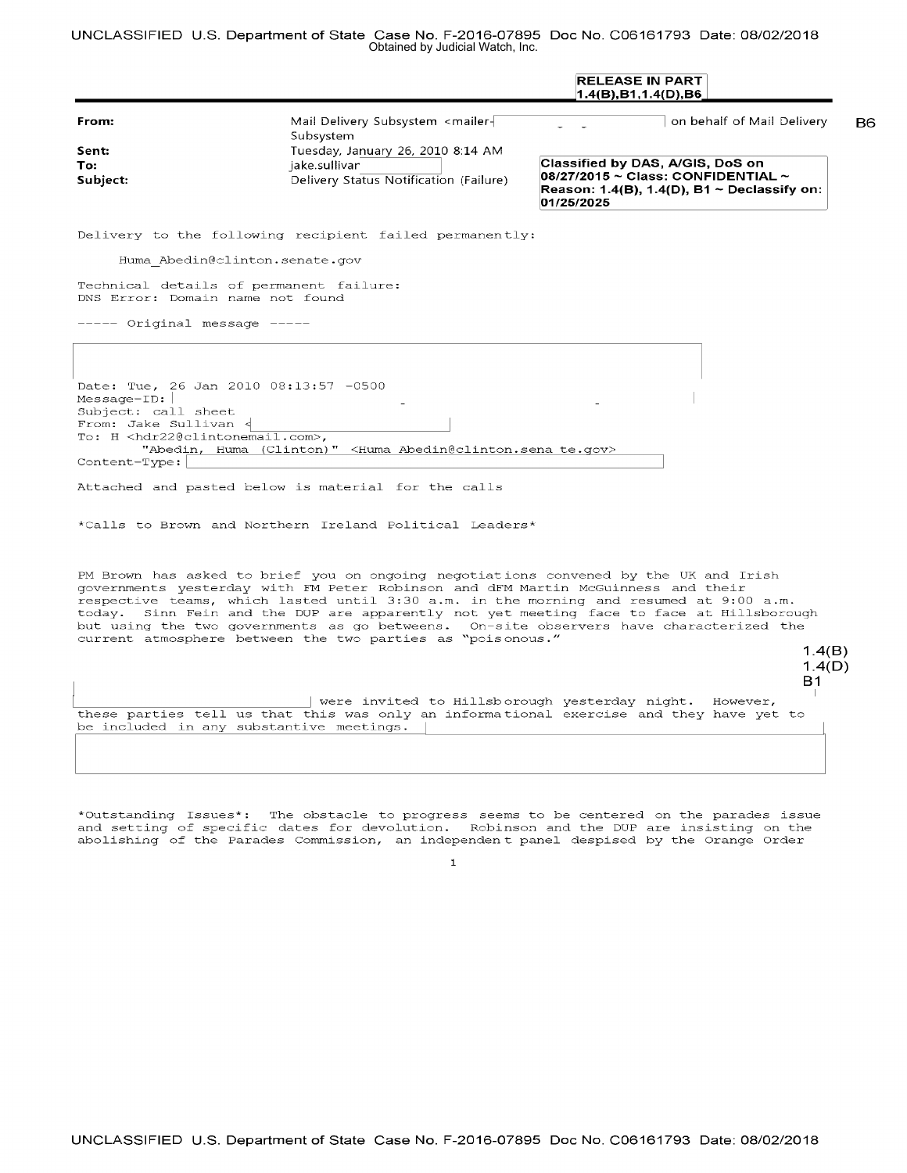UNCLASSIFIED U.S. Department of State Case No. F-2016-07895 Doc No. C06161793 Date: 08/02/2018 Obtained by Judicial Watch, Inc.

|                                                                                                                                                                                      |                                                                                                                                                                                             | <b>RELEASE IN PART</b><br>1.4(B),B1,1.4(D),B6                                                                                                                                                                                                                                                                                                                                                  |
|--------------------------------------------------------------------------------------------------------------------------------------------------------------------------------------|---------------------------------------------------------------------------------------------------------------------------------------------------------------------------------------------|------------------------------------------------------------------------------------------------------------------------------------------------------------------------------------------------------------------------------------------------------------------------------------------------------------------------------------------------------------------------------------------------|
| From:<br>Sent:<br>To:<br>Subject:                                                                                                                                                    | Mail Delivery Subsystem <mailer-<br>Subsystem<br/>Tuesday, January 26, 2010 8:14 AM<br/>jake.sullivar<br/>Delivery Status Notification (Failure)</mailer-<br>                               | on behalf of Mail Delivery<br>Classified by DAS, A/GIS, DoS on<br>$08/27/2015 \sim$ Class: CONFIDENTIAL $\sim$<br>Reason: $1.4(B)$ , $1.4(D)$ , $B1 \sim$ Declassify on:<br>01/25/2025                                                                                                                                                                                                         |
|                                                                                                                                                                                      | Delivery to the following recipient failed permanently:                                                                                                                                     |                                                                                                                                                                                                                                                                                                                                                                                                |
| Huma Abedin@clinton.senate.gov                                                                                                                                                       |                                                                                                                                                                                             |                                                                                                                                                                                                                                                                                                                                                                                                |
| Technical details of permanent failure:<br>DNS Error: Domain name not found                                                                                                          |                                                                                                                                                                                             |                                                                                                                                                                                                                                                                                                                                                                                                |
| ----- Original message -----                                                                                                                                                         |                                                                                                                                                                                             |                                                                                                                                                                                                                                                                                                                                                                                                |
|                                                                                                                                                                                      |                                                                                                                                                                                             |                                                                                                                                                                                                                                                                                                                                                                                                |
| Date: Tue, 26 Jan 2010 08:13:57 -0500<br>$Message-ID:$<br>Subject: call sheet<br>From: Jake Sullivan <<br>To: H <hdr22@clintonemail.com>,<br/>Content-Type:</hdr22@clintonemail.com> | "Abedin, Huma (Clinton)" <huma abedin@clinton.sena="" te.gov=""><br/>Attached and pasted below is material for the calls<br/>*Calls to Brown and Northern Ireland Political Leaders*</huma> |                                                                                                                                                                                                                                                                                                                                                                                                |
| today.                                                                                                                                                                               | governments yesterday with FM Peter Robinson and dFM Martin McGuinness and their<br>current atmosphere between the two parties as "poisonous."                                              | PM Brown has asked to brief you on ongoing negotiations convened by the UK and Irish<br>respective teams, which lasted until 3:30 a.m. in the morning and resumed at 9:00 a.m.<br>Sinn Fein and the DUP are apparently not yet meeting face to face at Hillsborough<br>but using the two governments as go betweens. On-site observers have characterized the<br>1.4(B)<br>1.4(D)<br><b>B1</b> |
| be included in any substantive meetings.                                                                                                                                             | were invited to Hillsborough yesterday night.                                                                                                                                               | However,<br>these parties tell us that this was only an informational exercise and they have yet to                                                                                                                                                                                                                                                                                            |
|                                                                                                                                                                                      |                                                                                                                                                                                             |                                                                                                                                                                                                                                                                                                                                                                                                |

\*Outstanding Issues\*: The obstacle to progress seems to be centered on the parades issue and setting of specific dates for devolution. Robinson and the DUP are insisting on the abolishing of the Parades Commission, an independent panel despised by the Orange Order

1